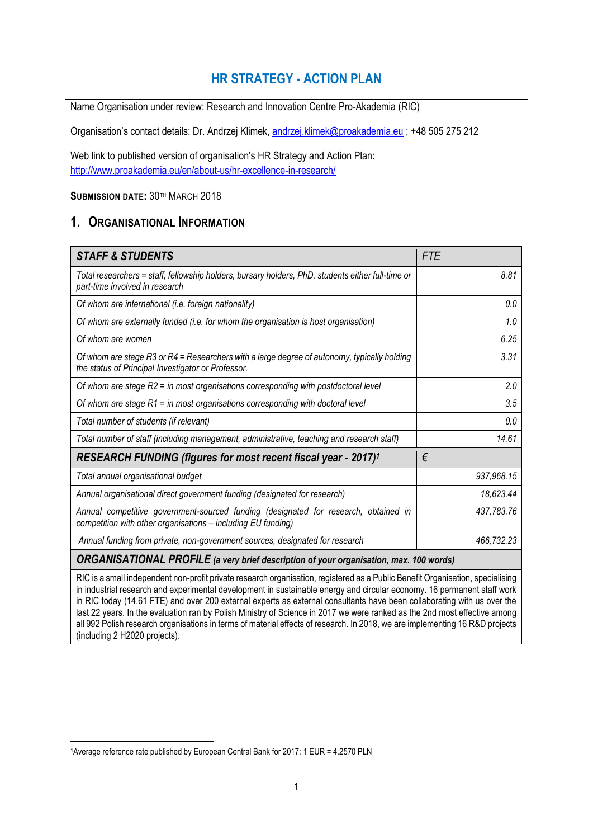# **HR STRATEGY - ACTION PLAN**

Name Organisation under review: Research and Innovation Centre Pro-Akademia (RIC)

Organisation's contact details: Dr. Andrzej Klimek, [andrzej.klimek@proakademia.eu](mailto:andrzej.klimek@proakademia.eu) ; +48 505 275 212

Web link to published version of organisation's HR Strategy and Action Plan: <http://www.proakademia.eu/en/about-us/hr-excellence-in-research/>

## **SUBMISSION DATE:** 30TH MARCH 2018

## **1. ORGANISATIONAL INFORMATION**

| <b>STAFF &amp; STUDENTS</b>                                                                                                                         | <b>FTE</b> |  |  |  |
|-----------------------------------------------------------------------------------------------------------------------------------------------------|------------|--|--|--|
| Total researchers = staff, fellowship holders, bursary holders, PhD. students either full-time or<br>part-time involved in research                 | 8.81       |  |  |  |
| Of whom are international (i.e. foreign nationality)                                                                                                | 0.0        |  |  |  |
| Of whom are externally funded (i.e. for whom the organisation is host organisation)                                                                 | 1.0        |  |  |  |
| Of whom are women                                                                                                                                   | 6.25       |  |  |  |
| Of whom are stage R3 or R4 = Researchers with a large degree of autonomy, typically holding<br>the status of Principal Investigator or Professor.   | 3.31       |  |  |  |
| Of whom are stage R2 = in most organisations corresponding with postdoctoral level                                                                  | 2.0        |  |  |  |
| Of whom are stage $R1$ = in most organisations corresponding with doctoral level                                                                    | 3.5        |  |  |  |
| Total number of students (if relevant)                                                                                                              | 0.0        |  |  |  |
| Total number of staff (including management, administrative, teaching and research staff)                                                           | 14.61      |  |  |  |
| RESEARCH FUNDING (figures for most recent fiscal year - 2017) <sup>1</sup>                                                                          | €          |  |  |  |
| Total annual organisational budget                                                                                                                  | 937,968.15 |  |  |  |
| Annual organisational direct government funding (designated for research)                                                                           | 18,623.44  |  |  |  |
| Annual competitive government-sourced funding (designated for research, obtained in<br>competition with other organisations - including EU funding) | 437,783.76 |  |  |  |
| Annual funding from private, non-government sources, designated for research                                                                        | 466,732.23 |  |  |  |
| ORGANISATIONAL PROFILE (a very brief description of your organisation, max. 100 words)                                                              |            |  |  |  |
| RIC is a small independent non-profit private research organisation, registered as a Public Benefit Organisation, specialising                      |            |  |  |  |

in industrial research and experimental development in sustainable energy and circular economy. 16 permanent staff work in RIC today (14.61 FTE) and over 200 external experts as external consultants have been collaborating with us over the last 22 years. In the evaluation ran by Polish Ministry of Science in 2017 we were ranked as the 2nd most effective among all 992 Polish research organisations in terms of material effects of research. In 2018, we are implementing 16 R&D projects (including 2 H2020 projects).

**<sup>.</sup>** 1Average reference rate published by European Central Bank for 2017: 1 EUR = 4.2570 PLN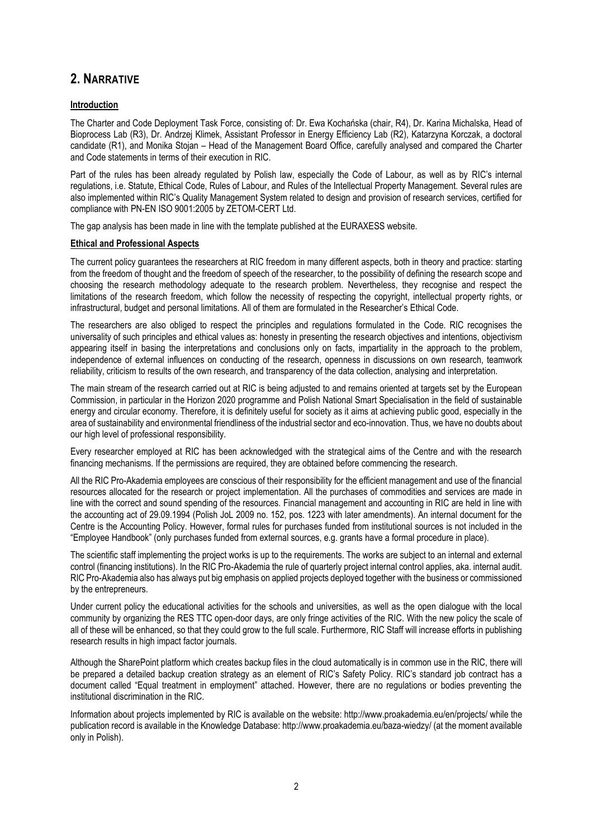# **2. NARRATIVE**

#### **Introduction**

The Charter and Code Deployment Task Force, consisting of: Dr. Ewa Kochańska (chair, R4), Dr. Karina Michalska, Head of Bioprocess Lab (R3), Dr. Andrzej Klimek, Assistant Professor in Energy Efficiency Lab (R2), Katarzyna Korczak, a doctoral candidate (R1), and Monika Stojan – Head of the Management Board Office, carefully analysed and compared the Charter and Code statements in terms of their execution in RIC.

Part of the rules has been already regulated by Polish law, especially the Code of Labour, as well as by RIC's internal regulations, i.e. Statute, Ethical Code, Rules of Labour, and Rules of the Intellectual Property Management. Several rules are also implemented within RIC's Quality Management System related to design and provision of research services, certified for compliance with PN-EN ISO 9001:2005 by ZETOM-CERT Ltd.

The gap analysis has been made in line with the template published at the EURAXESS website.

#### **Ethical and Professional Aspects**

The current policy guarantees the researchers at RIC freedom in many different aspects, both in theory and practice: starting from the freedom of thought and the freedom of speech of the researcher, to the possibility of defining the research scope and choosing the research methodology adequate to the research problem. Nevertheless, they recognise and respect the limitations of the research freedom, which follow the necessity of respecting the copyright, intellectual property rights, or infrastructural, budget and personal limitations. All of them are formulated in the Researcher's Ethical Code.

The researchers are also obliged to respect the principles and regulations formulated in the Code. RIC recognises the universality of such principles and ethical values as: honesty in presenting the research objectives and intentions, objectivism appearing itself in basing the interpretations and conclusions only on facts, impartiality in the approach to the problem, independence of external influences on conducting of the research, openness in discussions on own research, teamwork reliability, criticism to results of the own research, and transparency of the data collection, analysing and interpretation.

The main stream of the research carried out at RIC is being adjusted to and remains oriented at targets set by the European Commission, in particular in the Horizon 2020 programme and Polish National Smart Specialisation in the field of sustainable energy and circular economy. Therefore, it is definitely useful for society as it aims at achieving public good, especially in the area of sustainability and environmental friendliness of the industrial sector and eco-innovation. Thus, we have no doubts about our high level of professional responsibility.

Every researcher employed at RIC has been acknowledged with the strategical aims of the Centre and with the research financing mechanisms. If the permissions are required, they are obtained before commencing the research.

All the RIC Pro-Akademia employees are conscious of their responsibility for the efficient management and use of the financial resources allocated for the research or project implementation. All the purchases of commodities and services are made in line with the correct and sound spending of the resources. Financial management and accounting in RIC are held in line with the accounting act of 29.09.1994 (Polish JoL 2009 no. 152, pos. 1223 with later amendments). An internal document for the Centre is the Accounting Policy. However, formal rules for purchases funded from institutional sources is not included in the "Employee Handbook" (only purchases funded from external sources, e.g. grants have a formal procedure in place).

The scientific staff implementing the project works is up to the requirements. The works are subject to an internal and external control (financing institutions). In the RIC Pro-Akademia the rule of quarterly project internal control applies, aka. internal audit. RIC Pro-Akademia also has always put big emphasis on applied projects deployed together with the business or commissioned by the entrepreneurs.

Under current policy the educational activities for the schools and universities, as well as the open dialogue with the local community by organizing the RES TTC open-door days, are only fringe activities of the RIC. With the new policy the scale of all of these will be enhanced, so that they could grow to the full scale. Furthermore, RIC Staff will increase efforts in publishing research results in high impact factor journals.

Although the SharePoint platform which creates backup files in the cloud automatically is in common use in the RIC, there will be prepared a detailed backup creation strategy as an element of RIC's Safety Policy. RIC's standard job contract has a document called "Equal treatment in employment" attached. However, there are no regulations or bodies preventing the institutional discrimination in the RIC.

Information about projects implemented by RIC is available on the website[: http://www.proakademia.eu/en/projects/](http://www.proakademia.eu/en/projects/) while the publication record is available in the Knowledge Database:<http://www.proakademia.eu/baza-wiedzy/> (at the moment available only in Polish).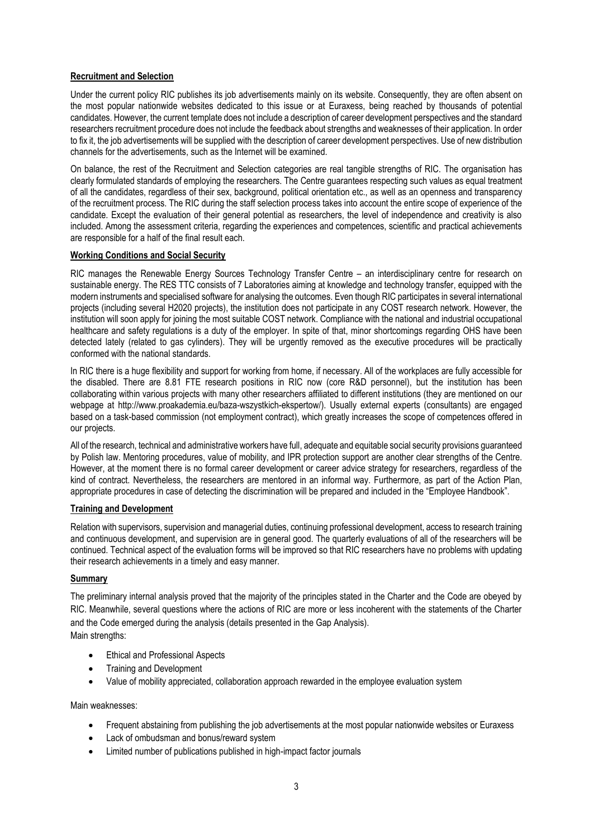### **Recruitment and Selection**

Under the current policy RIC publishes its job advertisements mainly on its website. Consequently, they are often absent on the most popular nationwide websites dedicated to this issue or at Euraxess, being reached by thousands of potential candidates. However, the current template does not include a description of career development perspectives and the standard researchers recruitment procedure does not include the feedback about strengths and weaknesses of their application. In order to fix it, the job advertisements will be supplied with the description of career development perspectives. Use of new distribution channels for the advertisements, such as the Internet will be examined.

On balance, the rest of the Recruitment and Selection categories are real tangible strengths of RIC. The organisation has clearly formulated standards of employing the researchers. The Centre guarantees respecting such values as equal treatment of all the candidates, regardless of their sex, background, political orientation etc., as well as an openness and transparency of the recruitment process. The RIC during the staff selection process takes into account the entire scope of experience of the candidate. Except the evaluation of their general potential as researchers, the level of independence and creativity is also included. Among the assessment criteria, regarding the experiences and competences, scientific and practical achievements are responsible for a half of the final result each.

#### **Working Conditions and Social Security**

RIC manages the Renewable Energy Sources Technology Transfer Centre – an interdisciplinary centre for research on sustainable energy. The RES TTC consists of 7 Laboratories aiming at knowledge and technology transfer, equipped with the modern instruments and specialised software for analysing the outcomes. Even though RIC participates in several international projects (including several H2020 projects), the institution does not participate in any COST research network. However, the institution will soon apply for joining the most suitable COST network. Compliance with the national and industrial occupational healthcare and safety regulations is a duty of the employer. In spite of that, minor shortcomings regarding OHS have been detected lately (related to gas cylinders). They will be urgently removed as the executive procedures will be practically conformed with the national standards.

In RIC there is a huge flexibility and support for working from home, if necessary. All of the workplaces are fully accessible for the disabled. There are 8.81 FTE research positions in RIC now (core R&D personnel), but the institution has been collaborating within various projects with many other researchers affiliated to different institutions (they are mentioned on our webpage at [http://www.proakademia.eu/baza-wszystkich-ekspertow/\)](http://www.proakademia.eu/baza-wszystkich-ekspertow/). Usually external experts (consultants) are engaged based on a task-based commission (not employment contract), which greatly increases the scope of competences offered in our projects.

All of the research, technical and administrative workers have full, adequate and equitable social security provisions guaranteed by Polish law. Mentoring procedures, value of mobility, and IPR protection support are another clear strengths of the Centre. However, at the moment there is no formal career development or career advice strategy for researchers, regardless of the kind of contract. Nevertheless, the researchers are mentored in an informal way. Furthermore, as part of the Action Plan, appropriate procedures in case of detecting the discrimination will be prepared and included in the "Employee Handbook".

#### **Training and Development**

Relation with supervisors, supervision and managerial duties, continuing professional development, access to research training and continuous development, and supervision are in general good. The quarterly evaluations of all of the researchers will be continued. Technical aspect of the evaluation forms will be improved so that RIC researchers have no problems with updating their research achievements in a timely and easy manner.

#### **Summary**

The preliminary internal analysis proved that the majority of the principles stated in the Charter and the Code are obeyed by RIC. Meanwhile, several questions where the actions of RIC are more or less incoherent with the statements of the Charter and the Code emerged during the analysis (details presented in the Gap Analysis).

Main strengths:

- Ethical and Professional Aspects
- Training and Development
- Value of mobility appreciated, collaboration approach rewarded in the employee evaluation system

#### Main weaknesses:

- Frequent abstaining from publishing the job advertisements at the most popular nationwide websites or Euraxess
- Lack of ombudsman and bonus/reward system
- Limited number of publications published in high-impact factor journals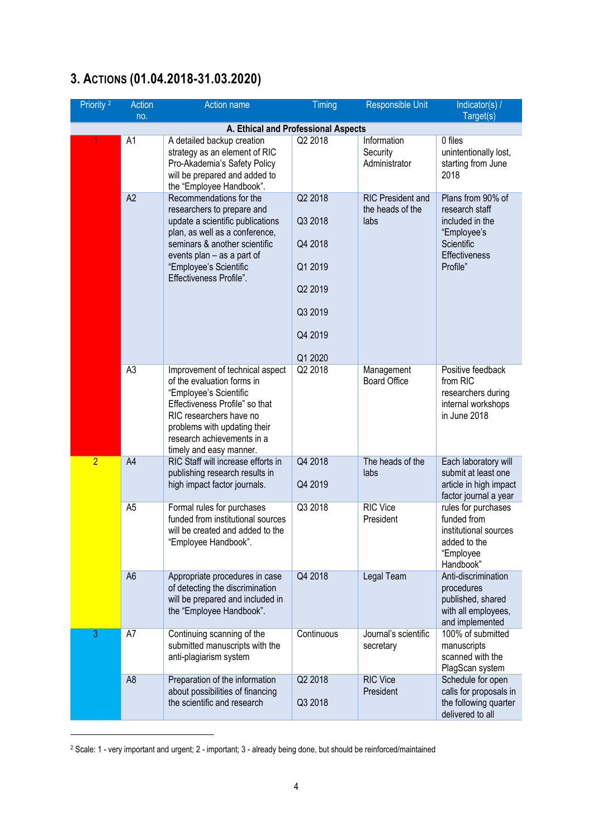# **3. ACTIONS (01.04.2018-31.03.2020)**

| Priority <sup>2</sup> | <b>Action</b>  | Action name                                                                                                                                                                                                                                     | Timing                                                                               | <b>Responsible Unit</b>                              | Indicator(s) /                                                                                                   |
|-----------------------|----------------|-------------------------------------------------------------------------------------------------------------------------------------------------------------------------------------------------------------------------------------------------|--------------------------------------------------------------------------------------|------------------------------------------------------|------------------------------------------------------------------------------------------------------------------|
|                       | no.            |                                                                                                                                                                                                                                                 |                                                                                      |                                                      | Target(s)                                                                                                        |
|                       |                | A. Ethical and Professional Aspects                                                                                                                                                                                                             |                                                                                      |                                                      |                                                                                                                  |
|                       | A <sub>1</sub> | A detailed backup creation<br>strategy as an element of RIC<br>Pro-Akademia's Safety Policy<br>will be prepared and added to<br>the "Employee Handbook".                                                                                        | Q2 2018                                                                              | Information<br>Security<br>Administrator             | 0 files<br>unintentionally lost,<br>starting from June<br>2018                                                   |
|                       | A2             | Recommendations for the<br>researchers to prepare and<br>update a scientific publications<br>plan, as well as a conference,<br>seminars & another scientific<br>events plan - as a part of<br>"Employee's Scientific<br>Effectiveness Profile". | Q2 2018<br>Q3 2018<br>Q4 2018<br>Q1 2019<br>Q2 2019<br>Q3 2019<br>Q4 2019<br>Q1 2020 | <b>RIC President and</b><br>the heads of the<br>labs | Plans from 90% of<br>research staff<br>included in the<br>"Employee's<br>Scientific<br>Effectiveness<br>Profile" |
|                       | A <sub>3</sub> | Improvement of technical aspect<br>of the evaluation forms in<br>"Employee's Scientific<br>Effectiveness Profile" so that<br>RIC researchers have no<br>problems with updating their<br>research achievements in a<br>timely and easy manner.   | Q2 2018                                                                              | Management<br><b>Board Office</b>                    | Positive feedback<br>from RIC<br>researchers during<br>internal workshops<br>in June 2018                        |
| $\overline{2}$        | A4             | RIC Staff will increase efforts in<br>publishing research results in<br>high impact factor journals.                                                                                                                                            | Q4 2018<br>Q4 2019                                                                   | The heads of the<br>labs                             | Each laboratory will<br>submit at least one<br>article in high impact<br>factor journal a year                   |
|                       | A <sub>5</sub> | Formal rules for purchases<br>funded from institutional sources<br>will be created and added to the<br>"Employee Handbook".                                                                                                                     | Q3 2018                                                                              | <b>RIC Vice</b><br>President                         | rules for purchases<br>funded from<br>institutional sources<br>added to the<br>"Employee<br>Handbook"            |
|                       | A <sub>6</sub> | Appropriate procedures in case<br>of detecting the discrimination<br>will be prepared and included in<br>the "Employee Handbook".                                                                                                               | Q4 2018                                                                              | Legal Team                                           | Anti-discrimination<br>procedures<br>published, shared<br>with all employees,<br>and implemented                 |
| 3                     | A7             | Continuing scanning of the<br>submitted manuscripts with the<br>anti-plagiarism system                                                                                                                                                          | Continuous                                                                           | Journal's scientific<br>secretary                    | 100% of submitted<br>manuscripts<br>scanned with the<br>PlagScan system                                          |
|                       | A <sub>8</sub> | Preparation of the information<br>about possibilities of financing<br>the scientific and research                                                                                                                                               | Q2 2018<br>Q3 2018                                                                   | <b>RIC Vice</b><br>President                         | Schedule for open<br>calls for proposals in<br>the following quarter<br>delivered to all                         |

<sup>2</sup> Scale: 1 - very important and urgent; 2 - important; 3 - already being done, but should be reinforced/maintained

**.**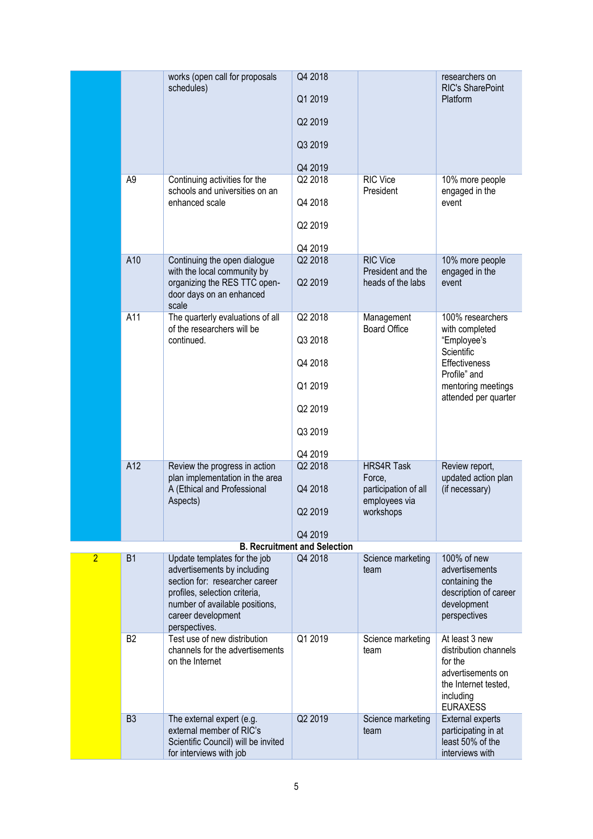|                |                | works (open call for proposals                                                                                                                                                                          | Q4 2018                             |                                                    | researchers on                                                                                                             |
|----------------|----------------|---------------------------------------------------------------------------------------------------------------------------------------------------------------------------------------------------------|-------------------------------------|----------------------------------------------------|----------------------------------------------------------------------------------------------------------------------------|
|                |                | schedules)                                                                                                                                                                                              | Q1 2019                             |                                                    | RIC's SharePoint<br>Platform                                                                                               |
|                |                |                                                                                                                                                                                                         | Q2 2019                             |                                                    |                                                                                                                            |
|                |                |                                                                                                                                                                                                         | Q3 2019                             |                                                    |                                                                                                                            |
|                |                |                                                                                                                                                                                                         | Q4 2019                             |                                                    |                                                                                                                            |
|                | A <sub>9</sub> | Continuing activities for the                                                                                                                                                                           | Q2 2018                             | RIC Vice                                           | 10% more people                                                                                                            |
|                |                | schools and universities on an<br>enhanced scale                                                                                                                                                        | Q4 2018                             | President                                          | engaged in the<br>event                                                                                                    |
|                |                |                                                                                                                                                                                                         | Q2 2019                             |                                                    |                                                                                                                            |
|                |                |                                                                                                                                                                                                         | Q4 2019                             |                                                    |                                                                                                                            |
|                | A10            | Continuing the open dialogue                                                                                                                                                                            | Q2 2018                             | <b>RIC Vice</b>                                    | 10% more people                                                                                                            |
|                |                | with the local community by<br>organizing the RES TTC open-<br>door days on an enhanced<br>scale                                                                                                        | Q2 2019                             | President and the<br>heads of the labs             | engaged in the<br>event                                                                                                    |
|                | A11            | The quarterly evaluations of all                                                                                                                                                                        | Q2 2018                             | Management                                         | 100% researchers                                                                                                           |
|                |                | of the researchers will be<br>continued.                                                                                                                                                                | Q3 2018                             | <b>Board Office</b>                                | with completed<br>"Employee's<br>Scientific<br>Effectiveness<br>Profile" and<br>mentoring meetings<br>attended per quarter |
|                |                |                                                                                                                                                                                                         | Q4 2018                             |                                                    |                                                                                                                            |
|                |                |                                                                                                                                                                                                         | Q1 2019                             |                                                    |                                                                                                                            |
|                |                |                                                                                                                                                                                                         | Q2 2019                             |                                                    |                                                                                                                            |
|                |                |                                                                                                                                                                                                         | Q3 2019                             |                                                    |                                                                                                                            |
|                |                |                                                                                                                                                                                                         | Q4 2019                             |                                                    |                                                                                                                            |
|                | A12            | Review the progress in action                                                                                                                                                                           | Q2 2018                             | <b>HRS4R Task</b>                                  | Review report,                                                                                                             |
|                |                | plan implementation in the area                                                                                                                                                                         |                                     | Force,                                             | updated action plan                                                                                                        |
|                |                | A (Ethical and Professional<br>Aspects)                                                                                                                                                                 | Q4 2018<br>Q2 2019                  | participation of all<br>employees via<br>workshops | (if necessary)                                                                                                             |
|                |                |                                                                                                                                                                                                         |                                     |                                                    |                                                                                                                            |
|                |                |                                                                                                                                                                                                         | Q4 2019                             |                                                    |                                                                                                                            |
|                |                |                                                                                                                                                                                                         | <b>B. Recruitment and Selection</b> |                                                    |                                                                                                                            |
| $\overline{2}$ | <b>B1</b>      | Update templates for the job<br>advertisements by including<br>section for: researcher career<br>profiles, selection criteria,<br>number of available positions,<br>career development<br>perspectives. | Q4 2018                             | Science marketing<br>team                          | 100% of new<br>advertisements<br>containing the<br>description of career<br>development<br>perspectives                    |
|                | B <sub>2</sub> | Test use of new distribution                                                                                                                                                                            | Q1 2019                             | Science marketing                                  | At least 3 new                                                                                                             |
|                |                | channels for the advertisements<br>on the Internet                                                                                                                                                      |                                     | team                                               | distribution channels<br>for the<br>advertisements on<br>the Internet tested,<br>including<br><b>EURAXESS</b>              |
|                | B <sub>3</sub> | The external expert (e.g.<br>external member of RIC's<br>Scientific Council) will be invited<br>for interviews with job                                                                                 | Q2 2019                             | Science marketing<br>team                          | <b>External experts</b><br>participating in at<br>least 50% of the<br>interviews with                                      |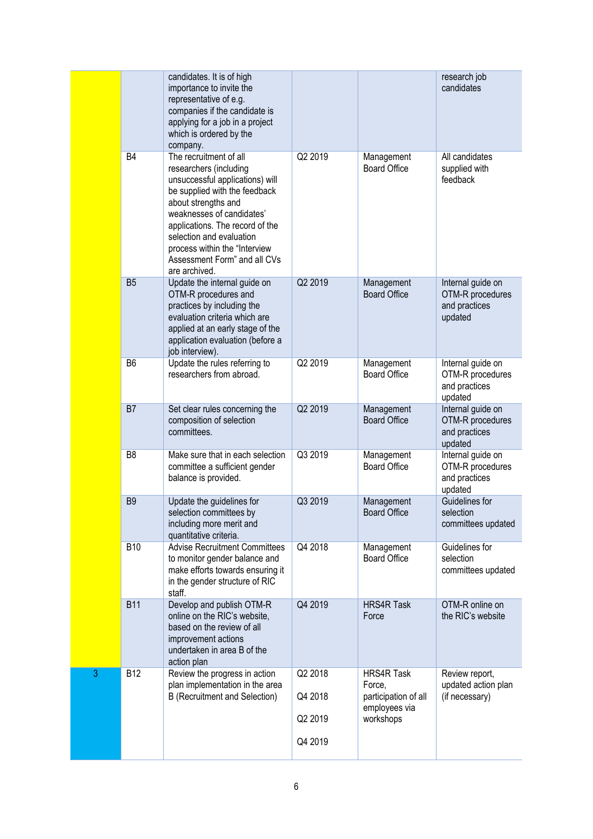|   |                | candidates. It is of high<br>importance to invite the<br>representative of e.g.<br>companies if the candidate is<br>applying for a job in a project<br>which is ordered by the<br>company.                                                                                                                                |                    |                                                                      | research job<br>candidates                                        |
|---|----------------|---------------------------------------------------------------------------------------------------------------------------------------------------------------------------------------------------------------------------------------------------------------------------------------------------------------------------|--------------------|----------------------------------------------------------------------|-------------------------------------------------------------------|
|   | <b>B4</b>      | The recruitment of all<br>researchers (including<br>unsuccessful applications) will<br>be supplied with the feedback<br>about strengths and<br>weaknesses of candidates'<br>applications. The record of the<br>selection and evaluation<br>process within the "Interview<br>Assessment Form" and all CVs<br>are archived. | Q2 2019            | Management<br><b>Board Office</b>                                    | All candidates<br>supplied with<br>feedback                       |
|   | B <sub>5</sub> | Update the internal guide on<br>OTM-R procedures and<br>practices by including the<br>evaluation criteria which are<br>applied at an early stage of the<br>application evaluation (before a<br>job interview).                                                                                                            | Q2 2019            | Management<br><b>Board Office</b>                                    | Internal guide on<br>OTM-R procedures<br>and practices<br>updated |
|   | B <sub>6</sub> | Update the rules referring to<br>researchers from abroad.                                                                                                                                                                                                                                                                 | Q2 2019            | Management<br><b>Board Office</b>                                    | Internal guide on<br>OTM-R procedures<br>and practices<br>updated |
|   | B7             | Set clear rules concerning the<br>composition of selection<br>committees.                                                                                                                                                                                                                                                 | Q2 2019            | Management<br><b>Board Office</b>                                    | Internal guide on<br>OTM-R procedures<br>and practices<br>updated |
|   | B <sub>8</sub> | Make sure that in each selection<br>committee a sufficient gender<br>balance is provided.                                                                                                                                                                                                                                 | Q3 2019            | Management<br><b>Board Office</b>                                    | Internal guide on<br>OTM-R procedures<br>and practices<br>updated |
|   | B <sub>9</sub> | Update the guidelines for<br>selection committees by<br>including more merit and<br>quantitative criteria.                                                                                                                                                                                                                | Q3 2019            | Management<br><b>Board Office</b>                                    | Guidelines for<br>selection<br>committees updated                 |
|   | <b>B10</b>     | <b>Advise Recruitment Committees</b><br>to monitor gender balance and<br>make efforts towards ensuring it<br>in the gender structure of RIC<br>staff.                                                                                                                                                                     | Q4 2018            | Management<br><b>Board Office</b>                                    | Guidelines for<br>selection<br>committees updated                 |
|   | <b>B11</b>     | Develop and publish OTM-R<br>online on the RIC's website,<br>based on the review of all<br>improvement actions<br>undertaken in area B of the<br>action plan                                                                                                                                                              | Q4 2019            | <b>HRS4R Task</b><br>Force                                           | OTM-R online on<br>the RIC's website                              |
| 3 | <b>B12</b>     | Review the progress in action<br>plan implementation in the area<br><b>B</b> (Recruitment and Selection)                                                                                                                                                                                                                  | Q2 2018<br>Q4 2018 | <b>HRS4R Task</b><br>Force,<br>participation of all<br>employees via | Review report,<br>updated action plan<br>(if necessary)           |
|   |                |                                                                                                                                                                                                                                                                                                                           | Q2 2019            | workshops                                                            |                                                                   |
|   |                |                                                                                                                                                                                                                                                                                                                           | Q4 2019            |                                                                      |                                                                   |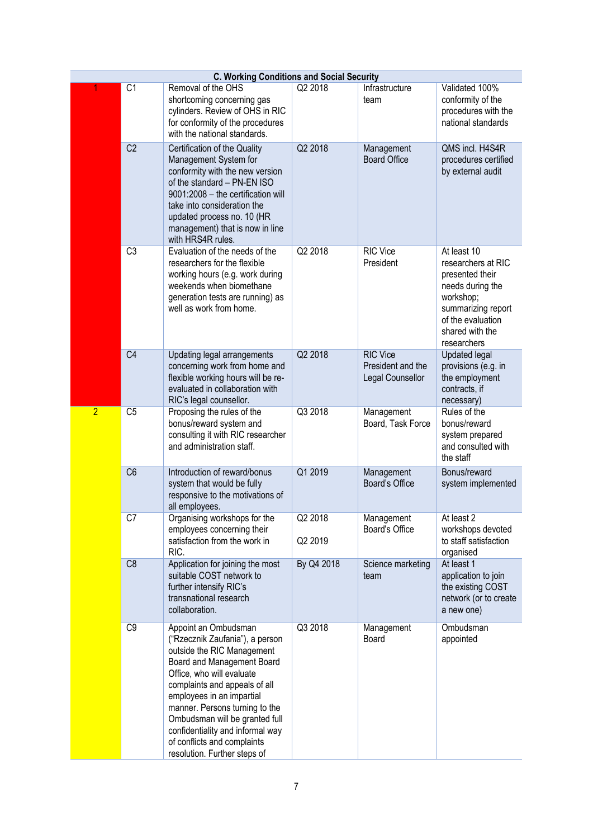|                | <b>C. Working Conditions and Social Security</b> |                                                                                                                                                                                                                                                                                                                                                                                       |                    |                                                          |                                                                                                                                                                    |  |
|----------------|--------------------------------------------------|---------------------------------------------------------------------------------------------------------------------------------------------------------------------------------------------------------------------------------------------------------------------------------------------------------------------------------------------------------------------------------------|--------------------|----------------------------------------------------------|--------------------------------------------------------------------------------------------------------------------------------------------------------------------|--|
|                | C <sub>1</sub>                                   | Removal of the OHS<br>shortcoming concerning gas<br>cylinders. Review of OHS in RIC<br>for conformity of the procedures<br>with the national standards.                                                                                                                                                                                                                               | Q2 2018            | Infrastructure<br>team                                   | Validated 100%<br>conformity of the<br>procedures with the<br>national standards                                                                                   |  |
|                | C <sub>2</sub>                                   | Certification of the Quality<br>Management System for<br>conformity with the new version<br>of the standard - PN-EN ISO<br>9001:2008 - the certification will<br>take into consideration the<br>updated process no. 10 (HR<br>management) that is now in line<br>with HRS4R rules.                                                                                                    | Q2 2018            | Management<br><b>Board Office</b>                        | QMS incl. H4S4R<br>procedures certified<br>by external audit                                                                                                       |  |
|                | C3                                               | Evaluation of the needs of the<br>researchers for the flexible<br>working hours (e.g. work during<br>weekends when biomethane<br>generation tests are running) as<br>well as work from home.                                                                                                                                                                                          | Q2 2018            | <b>RIC Vice</b><br>President                             | At least 10<br>researchers at RIC<br>presented their<br>needs during the<br>workshop;<br>summarizing report<br>of the evaluation<br>shared with the<br>researchers |  |
|                | C <sub>4</sub>                                   | Updating legal arrangements<br>concerning work from home and<br>flexible working hours will be re-<br>evaluated in collaboration with<br>RIC's legal counsellor.                                                                                                                                                                                                                      | Q2 2018            | <b>RIC Vice</b><br>President and the<br>Legal Counsellor | <b>Updated legal</b><br>provisions (e.g. in<br>the employment<br>contracts, if<br>necessary)                                                                       |  |
| $\overline{2}$ | C <sub>5</sub>                                   | Proposing the rules of the<br>bonus/reward system and<br>consulting it with RIC researcher<br>and administration staff.                                                                                                                                                                                                                                                               | Q3 2018            | Management<br>Board, Task Force                          | Rules of the<br>bonus/reward<br>system prepared<br>and consulted with<br>the staff                                                                                 |  |
|                | C <sub>6</sub>                                   | Introduction of reward/bonus<br>system that would be fully<br>responsive to the motivations of<br>all employees.                                                                                                                                                                                                                                                                      | Q1 2019            | Management<br>Board's Office                             | Bonus/reward<br>system implemented                                                                                                                                 |  |
|                | C7                                               | Organising workshops for the<br>employees concerning their<br>satisfaction from the work in<br>RIC.                                                                                                                                                                                                                                                                                   | Q2 2018<br>Q2 2019 | Management<br>Board's Office                             | At least 2<br>workshops devoted<br>to staff satisfaction<br>organised                                                                                              |  |
|                | C8                                               | Application for joining the most<br>suitable COST network to<br>further intensify RIC's<br>transnational research<br>collaboration.                                                                                                                                                                                                                                                   | By Q4 2018         | Science marketing<br>team                                | At least 1<br>application to join<br>the existing COST<br>network (or to create<br>a new one)                                                                      |  |
|                | C <sub>9</sub>                                   | Appoint an Ombudsman<br>("Rzecznik Zaufania"), a person<br>outside the RIC Management<br>Board and Management Board<br>Office, who will evaluate<br>complaints and appeals of all<br>employees in an impartial<br>manner. Persons turning to the<br>Ombudsman will be granted full<br>confidentiality and informal way<br>of conflicts and complaints<br>resolution. Further steps of | Q3 2018            | Management<br>Board                                      | Ombudsman<br>appointed                                                                                                                                             |  |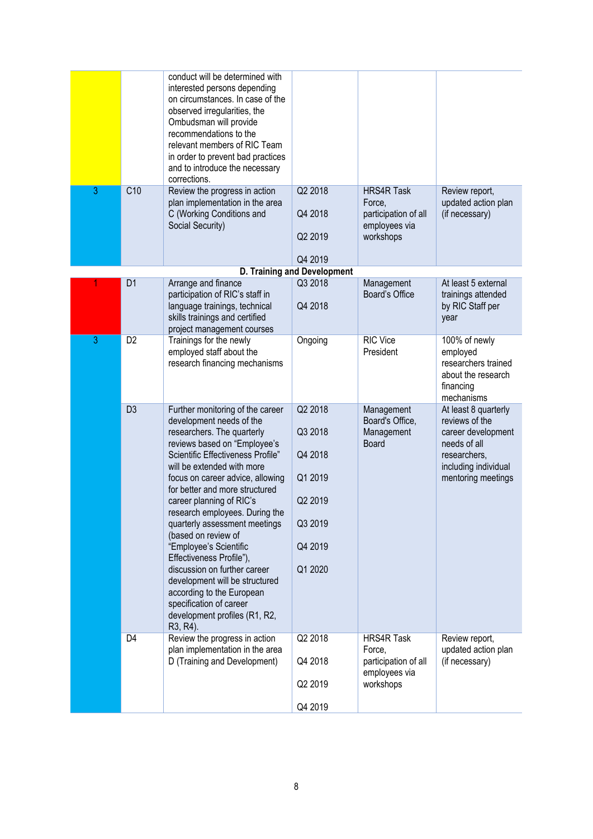|   |                | conduct will be determined with<br>interested persons depending<br>on circumstances. In case of the<br>observed irregularities, the<br>Ombudsman will provide<br>recommendations to the<br>relevant members of RIC Team<br>in order to prevent bad practices<br>and to introduce the necessary<br>corrections.                                                                                                                                                                                                                                                                                                         |                                                                                      |                                                                                   |                                                                                                                                            |
|---|----------------|------------------------------------------------------------------------------------------------------------------------------------------------------------------------------------------------------------------------------------------------------------------------------------------------------------------------------------------------------------------------------------------------------------------------------------------------------------------------------------------------------------------------------------------------------------------------------------------------------------------------|--------------------------------------------------------------------------------------|-----------------------------------------------------------------------------------|--------------------------------------------------------------------------------------------------------------------------------------------|
| 3 | C10            | Review the progress in action<br>plan implementation in the area<br>C (Working Conditions and<br>Social Security)                                                                                                                                                                                                                                                                                                                                                                                                                                                                                                      | Q2 2018<br>Q4 2018<br>Q2 2019<br>Q4 2019                                             | <b>HRS4R Task</b><br>Force,<br>participation of all<br>employees via<br>workshops | Review report,<br>updated action plan<br>(if necessary)                                                                                    |
|   |                |                                                                                                                                                                                                                                                                                                                                                                                                                                                                                                                                                                                                                        | <b>D. Training and Development</b>                                                   |                                                                                   |                                                                                                                                            |
|   | D <sub>1</sub> | Arrange and finance<br>participation of RIC's staff in<br>language trainings, technical<br>skills trainings and certified<br>project management courses                                                                                                                                                                                                                                                                                                                                                                                                                                                                | Q3 2018<br>Q4 2018                                                                   | Management<br>Board's Office                                                      | At least 5 external<br>trainings attended<br>by RIC Staff per<br>year                                                                      |
| 3 | D <sub>2</sub> | Trainings for the newly<br>employed staff about the<br>research financing mechanisms                                                                                                                                                                                                                                                                                                                                                                                                                                                                                                                                   | Ongoing                                                                              | RIC Vice<br>President                                                             | 100% of newly<br>employed<br>researchers trained<br>about the research<br>financing<br>mechanisms                                          |
|   | D <sub>3</sub> | Further monitoring of the career<br>development needs of the<br>researchers. The quarterly<br>reviews based on "Employee's<br>Scientific Effectiveness Profile"<br>will be extended with more<br>focus on career advice, allowing<br>for better and more structured<br>career planning of RIC's<br>research employees. During the<br>quarterly assessment meetings<br>(based on review of<br>"Employee's Scientific<br>Effectiveness Profile"),<br>discussion on further career<br>development will be structured<br>according to the European<br>specification of career<br>development profiles (R1, R2,<br>R3, R4). | Q2 2018<br>Q3 2018<br>Q4 2018<br>Q1 2019<br>Q2 2019<br>Q3 2019<br>Q4 2019<br>Q1 2020 | Management<br>Board's Office,<br>Management<br><b>Board</b>                       | At least 8 quarterly<br>reviews of the<br>career development<br>needs of all<br>researchers,<br>including individual<br>mentoring meetings |
|   | D <sub>4</sub> | Review the progress in action<br>plan implementation in the area<br>D (Training and Development)                                                                                                                                                                                                                                                                                                                                                                                                                                                                                                                       | Q2 2018<br>Q4 2018<br>Q2 2019<br>Q4 2019                                             | <b>HRS4R Task</b><br>Force,<br>participation of all<br>employees via<br>workshops | Review report,<br>updated action plan<br>(if necessary)                                                                                    |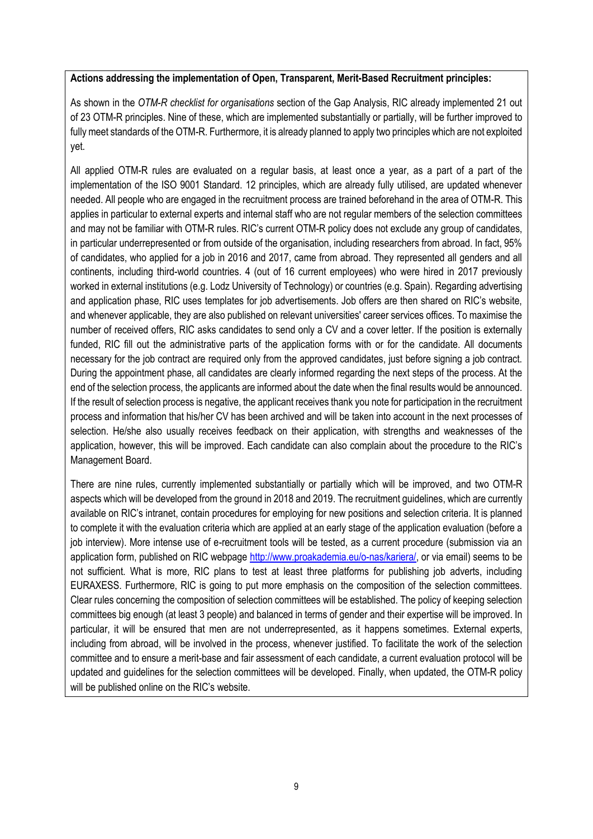### **Actions addressing the implementation of Open, Transparent, Merit-Based Recruitment principles:**

As shown in the *OTM-R checklist for organisations* section of the Gap Analysis, RIC already implemented 21 out of 23 OTM-R principles. Nine of these, which are implemented substantially or partially, will be further improved to fully meet standards of the OTM-R. Furthermore, it is already planned to apply two principles which are not exploited yet.

All applied OTM-R rules are evaluated on a regular basis, at least once a year, as a part of a part of the implementation of the ISO 9001 Standard. 12 principles, which are already fully utilised, are updated whenever needed. All people who are engaged in the recruitment process are trained beforehand in the area of OTM-R. This applies in particular to external experts and internal staff who are not regular members of the selection committees and may not be familiar with OTM-R rules. RIC's current OTM-R policy does not exclude any group of candidates, in particular underrepresented or from outside of the organisation, including researchers from abroad. In fact, 95% of candidates, who applied for a job in 2016 and 2017, came from abroad. They represented all genders and all continents, including third-world countries. 4 (out of 16 current employees) who were hired in 2017 previously worked in external institutions (e.g. Lodz University of Technology) or countries (e.g. Spain). Regarding advertising and application phase, RIC uses templates for job advertisements. Job offers are then shared on RIC's website, and whenever applicable, they are also published on relevant universities' career services offices. To maximise the number of received offers, RIC asks candidates to send only a CV and a cover letter. If the position is externally funded, RIC fill out the administrative parts of the application forms with or for the candidate. All documents necessary for the job contract are required only from the approved candidates, just before signing a job contract. During the appointment phase, all candidates are clearly informed regarding the next steps of the process. At the end of the selection process, the applicants are informed about the date when the final results would be announced. If the result of selection process is negative, the applicant receives thank you note for participation in the recruitment process and information that his/her CV has been archived and will be taken into account in the next processes of selection. He/she also usually receives feedback on their application, with strengths and weaknesses of the application, however, this will be improved. Each candidate can also complain about the procedure to the RIC's Management Board.

There are nine rules, currently implemented substantially or partially which will be improved, and two OTM-R aspects which will be developed from the ground in 2018 and 2019. The recruitment guidelines, which are currently available on RIC's intranet, contain procedures for employing for new positions and selection criteria. It is planned to complete it with the evaluation criteria which are applied at an early stage of the application evaluation (before a job interview). More intense use of e-recruitment tools will be tested, as a current procedure (submission via an application form, published on RIC webpage [http://www.proakademia.eu/o-nas/kariera/,](http://www.proakademia.eu/o-nas/kariera/) or via email) seems to be not sufficient. What is more, RIC plans to test at least three platforms for publishing job adverts, including EURAXESS. Furthermore, RIC is going to put more emphasis on the composition of the selection committees. Clear rules concerning the composition of selection committees will be established. The policy of keeping selection committees big enough (at least 3 people) and balanced in terms of gender and their expertise will be improved. In particular, it will be ensured that men are not underrepresented, as it happens sometimes. External experts, including from abroad, will be involved in the process, whenever justified. To facilitate the work of the selection committee and to ensure a merit-base and fair assessment of each candidate, a current evaluation protocol will be updated and guidelines for the selection committees will be developed. Finally, when updated, the OTM-R policy will be published online on the RIC's website.